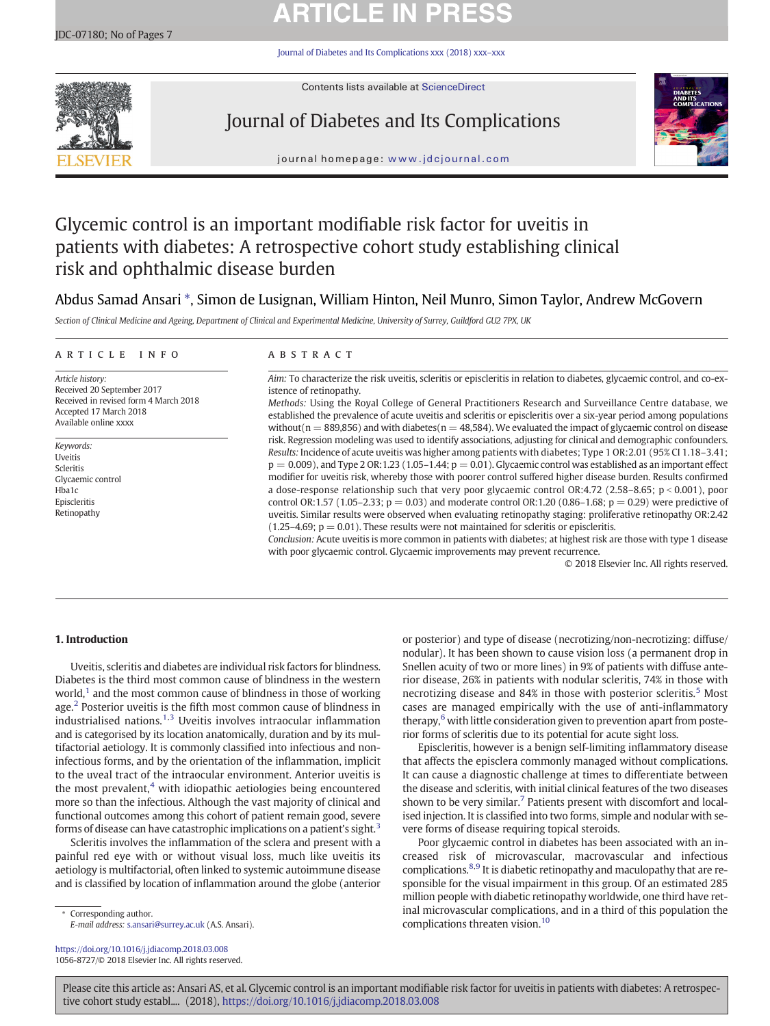# **ARTICLE IN PRESS**

[Journal of Diabetes and Its Complications xxx \(2018\) xxx](https://doi.org/10.1016/j.jdiacomp.2018.03.008)–xxx



Contents lists available at [ScienceDirect](http://www.sciencedirect.com/science/journal/)

## Journal of Diabetes and Its Complications



journal homepage: www.jdcjournal.com

## Glycemic control is an important modifiable risk factor for uveitis in patients with diabetes: A retrospective cohort study establishing clinical risk and ophthalmic disease burden

## Abdus Samad Ansari ⁎, Simon de Lusignan, William Hinton, Neil Munro, Simon Taylor, Andrew McGovern

Section of Clinical Medicine and Ageing, Department of Clinical and Experimental Medicine, University of Surrey, Guildford GU2 7PX, UK

### article info abstract

Article history: Received 20 September 2017 Received in revised form 4 March 2018 Accepted 17 March 2018 Available online xxxx

Keywords: Uveitis Scleritis Glycaemic control Hba1c Episcleritis Retinopathy

Aim: To characterize the risk uveitis, scleritis or episcleritis in relation to diabetes, glycaemic control, and co-existence of retinopathy.

Methods: Using the Royal College of General Practitioners Research and Surveillance Centre database, we established the prevalence of acute uveitis and scleritis or episcleritis over a six-year period among populations without( $n = 889,856$ ) and with diabetes( $n = 48,584$ ). We evaluated the impact of glycaemic control on disease risk. Regression modeling was used to identify associations, adjusting for clinical and demographic confounders. Results: Incidence of acute uveitis was higher among patients with diabetes; Type 1 OR:2.01 (95% CI 1.18–3.41;  $p = 0.009$ ), and Type 2 OR:1.23 (1.05–1.44;  $p = 0.01$ ). Glycaemic control was established as an important effect modifier for uveitis risk, whereby those with poorer control suffered higher disease burden. Results confirmed a dose-response relationship such that very poor glycaemic control OR:4.72 (2.58–8.65;  $p < 0.001$ ), poor control OR:1.57 (1.05–2.33;  $p = 0.03$ ) and moderate control OR:1.20 (0.86–1.68;  $p = 0.29$ ) were predictive of uveitis. Similar results were observed when evaluating retinopathy staging: proliferative retinopathy OR:2.42  $(1.25-4.69; p = 0.01)$ . These results were not maintained for scleritis or episcleritis.

Conclusion: Acute uveitis is more common in patients with diabetes; at highest risk are those with type 1 disease with poor glycaemic control. Glycaemic improvements may prevent recurrence.

© 2018 Elsevier Inc. All rights reserved.

### 1. Introduction

Uveitis, scleritis and diabetes are individual risk factors for blindness. Diabetes is the third most common cause of blindness in the western world[,](#page-6-0) $<sup>1</sup>$  $<sup>1</sup>$  $<sup>1</sup>$  and the most common cause of blindness in those of working</sup> age[.](#page-6-0) $<sup>2</sup>$  $<sup>2</sup>$  $<sup>2</sup>$  Posterior uveitis is the fifth most common cause of blindness in</sup> industrialised nations[.](#page-6-0) $1,3$  Uveitis involves intraocular inflammation and is categorised by its location anatomically, duration and by its multifactorial aetiology. It is commonly classified into infectious and noninfectious forms, and by the orientation of the inflammation, implicit to the uveal tract of the intraocular environment. Anterior uveitis is the most prevalent, $4$  with idiopathic aetiologies being encountered more so than the infectious. Although the vast majority of clinical and functional outcomes among this cohort of patient remain good, severe forms of disease can have catastrophic implications on a patient's sight[.](#page-6-0) $3$ 

Scleritis involves the inflammation of the sclera and present with a painful red eye with or without visual loss, much like uveitis its aetiology is multifactorial, often linked to systemic autoimmune disease and is classified by location of inflammation around the globe (anterior

Corresponding author. E-mail address: <s.ansari@surrey.ac.uk> (A.S. Ansari).

<https://doi.org/10.1016/j.jdiacomp.2018.03.008> 1056-8727/© 2018 Elsevier Inc. All rights reserved. or posterior) and type of disease (necrotizing/non-necrotizing: diffuse/ nodular). It has been shown to cause vision loss (a permanent drop in Snellen acuity of two or more lines) in 9% of patients with diffuse anterior disease, 26% in patients with nodular scleritis, 74% in those with necrotizing disease and 84% in those with posterior scleritis[.](#page-6-0)<sup>[5](#page-6-0)</sup> Most cases are managed empirically with the use of anti-inflammatory therapy[,](#page-6-0)<sup>[6](#page-6-0)</sup> with little consideration given to prevention apart from posterior forms of scleritis due to its potential for acute sight loss.

Episcleritis, however is a benign self-limiting inflammatory disease that affects the episclera commonly managed without complications. It can cause a diagnostic challenge at times to differentiate between the disease and scleritis, with initial clinical features of the two diseases shown to be very similar[.](#page-6-0)<sup>[7](#page-6-0)</sup> Patients present with discomfort and localised injection. It is classified into two forms, simple and nodular with severe forms of disease requiring topical steroids.

Poor glycaemic control in diabetes has been associated with an increased risk of microvascular, macrovascular and infectious complications[.](#page-6-0)<sup>[8,9](#page-6-0)</sup> It is diabetic retinopathy and maculopathy that are responsible for the visual impairment in this group. Of an estimated 285 million people with diabetic retinopathy worldwide, one third have retinal microvascular complications, and in a third of this population the complications threaten vision[.](#page-6-0)<sup>[10](#page-6-0)</sup>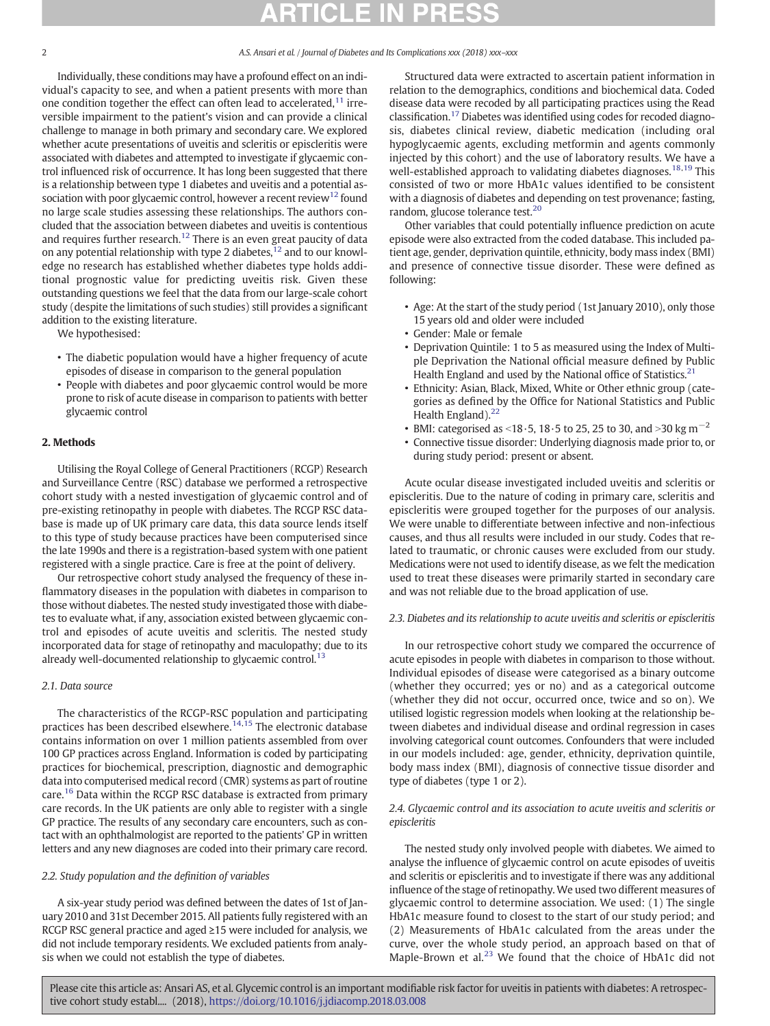Individually, these conditions may have a profound effect on an individual's capacity to see, and when a patient presents with more than one condition together the effect can often lead to accelerated[,](#page-6-0)<sup>[11](#page-6-0)</sup> irreversible impairment to the patient's vision and can provide a clinical challenge to manage in both primary and secondary care. We explored whether acute presentations of uveitis and scleritis or episcleritis were associated with diabetes and attempted to investigate if glycaemic control influenced risk of occurrence. It has long been suggested that there is a relationship between type 1 diabetes and uveitis and a potential association [w](#page-6-0)ith poor glycaemic control, however a recent review<sup>[12](#page-6-0)</sup> found no large scale studies assessing these relationships. The authors concluded that the association between diabetes and uveitis is contentious and requires further research[.](#page-6-0)<sup>[12](#page-6-0)</sup> There is an even great paucity of data on any potential relationship with type 2 diabetes[,](#page-6-0) $12$  and to our knowledge no research has established whether diabetes type holds additional prognostic value for predicting uveitis risk. Given these outstanding questions we feel that the data from our large-scale cohort study (despite the limitations of such studies) still provides a significant addition to the existing literature.

We hypothesised:

- The diabetic population would have a higher frequency of acute episodes of disease in comparison to the general population
- People with diabetes and poor glycaemic control would be more prone to risk of acute disease in comparison to patients with better glycaemic control

### 2. Methods

Utilising the Royal College of General Practitioners (RCGP) Research and Surveillance Centre (RSC) database we performed a retrospective cohort study with a nested investigation of glycaemic control and of pre-existing retinopathy in people with diabetes. The RCGP RSC database is made up of UK primary care data, this data source lends itself to this type of study because practices have been computerised since the late 1990s and there is a registration-based system with one patient registered with a single practice. Care is free at the point of delivery.

Our retrospective cohort study analysed the frequency of these inflammatory diseases in the population with diabetes in comparison to those without diabetes. The nested study investigated those with diabetes to evaluate what, if any, association existed between glycaemic control and episodes of acute uveitis and scleritis. The nested study incorporated data for stage of retinopathy and maculopathy; due to its already well-documented relationship to glycaemic control[.](#page-6-0)<sup>[13](#page-6-0)</sup>

### 2.1. Data source

The characteristics of the RCGP-RSC population and participating practices has been described elsewhere[.](#page-6-0)<sup>[14,15](#page-6-0)</sup> The electronic database contains information on over 1 million patients assembled from over 100 GP practices across England. Information is coded by participating practices for biochemical, prescription, diagnostic and demographic data into computerised medical record (CMR) systems as part of routine care[.](#page-6-0)<sup>[16](#page-6-0)</sup> Data within the RCGP RSC database is extracted from primary care records. In the UK patients are only able to register with a single GP practice. The results of any secondary care encounters, such as contact with an ophthalmologist are reported to the patients' GP in written letters and any new diagnoses are coded into their primary care record.

### 2.2. Study population and the definition of variables

A six-year study period was defined between the dates of 1st of January 2010 and 31st December 2015. All patients fully registered with an RCGP RSC general practice and aged ≥15 were included for analysis, we did not include temporary residents. We excluded patients from analysis when we could not establish the type of diabetes.

Structured data were extracted to ascertain patient information in relation to the demographics, conditions and biochemical data. Coded disease data were recoded by all participating practices using the Read classification[.](#page-6-0)[17](#page-6-0) Diabetes was identified using codes for recoded diagnosis, diabetes clinical review, diabetic medication (including oral hypoglycaemic agents, excluding metformin and agents commonly injected by this cohort) and the use of laboratory results. We have a well-established approach to validating diabetes diagnoses[.](#page-6-0)<sup>[18,19](#page-6-0)</sup> This consisted of two or more HbA1c values identified to be consistent with a diagnosis of diabetes and depending on test provenance; fasting, random, glucose tolerance test[.](#page-6-0)[20](#page-6-0)

Other variables that could potentially influence prediction on acute episode were also extracted from the coded database. This included patient age, gender, deprivation quintile, ethnicity, body mass index (BMI) and presence of connective tissue disorder. These were defined as following:

- Age: At the start of the study period (1st January 2010), only those 15 years old and older were included
- Gender: Male or female
- Deprivation Quintile: 1 to 5 as measured using the Index of Multiple Deprivation the National official measure defined by Public Health England and used by the National office of Statistics[.](#page-6-0) $21$
- Ethnicity: Asian, Black, Mixed, White or Other ethnic group (categories as defined by the Office for National Statistics and Public Health England)[.](#page-6-0)<sup>[22](#page-6-0)</sup>
- BMI: categorised as <18 $\cdot$ 5, 18 $\cdot$ 5 to 25, 25 to 30, and >30 kg m<sup>-2</sup>
- Connective tissue disorder: Underlying diagnosis made prior to, or during study period: present or absent.

Acute ocular disease investigated included uveitis and scleritis or episcleritis. Due to the nature of coding in primary care, scleritis and episcleritis were grouped together for the purposes of our analysis. We were unable to differentiate between infective and non-infectious causes, and thus all results were included in our study. Codes that related to traumatic, or chronic causes were excluded from our study. Medications were not used to identify disease, as we felt the medication used to treat these diseases were primarily started in secondary care and was not reliable due to the broad application of use.

### 2.3. Diabetes and its relationship to acute uveitis and scleritis or episcleritis

In our retrospective cohort study we compared the occurrence of acute episodes in people with diabetes in comparison to those without. Individual episodes of disease were categorised as a binary outcome (whether they occurred; yes or no) and as a categorical outcome (whether they did not occur, occurred once, twice and so on). We utilised logistic regression models when looking at the relationship between diabetes and individual disease and ordinal regression in cases involving categorical count outcomes. Confounders that were included in our models included: age, gender, ethnicity, deprivation quintile, body mass index (BMI), diagnosis of connective tissue disorder and type of diabetes (type 1 or 2).

### 2.4. Glycaemic control and its association to acute uveitis and scleritis or episcleritis

The nested study only involved people with diabetes. We aimed to analyse the influence of glycaemic control on acute episodes of uveitis and scleritis or episcleritis and to investigate if there was any additional influence of the stage of retinopathy. We used two different measures of glycaemic control to determine association. We used: (1) The single HbA1c measure found to closest to the start of our study period; and (2) Measurements of HbA1c calculated from the areas under the curve, over the whole study period, an approach based on that of Maple-Brown et al[.](#page-6-0)<sup>[23](#page-6-0)</sup> We found that the choice of HbA1c did not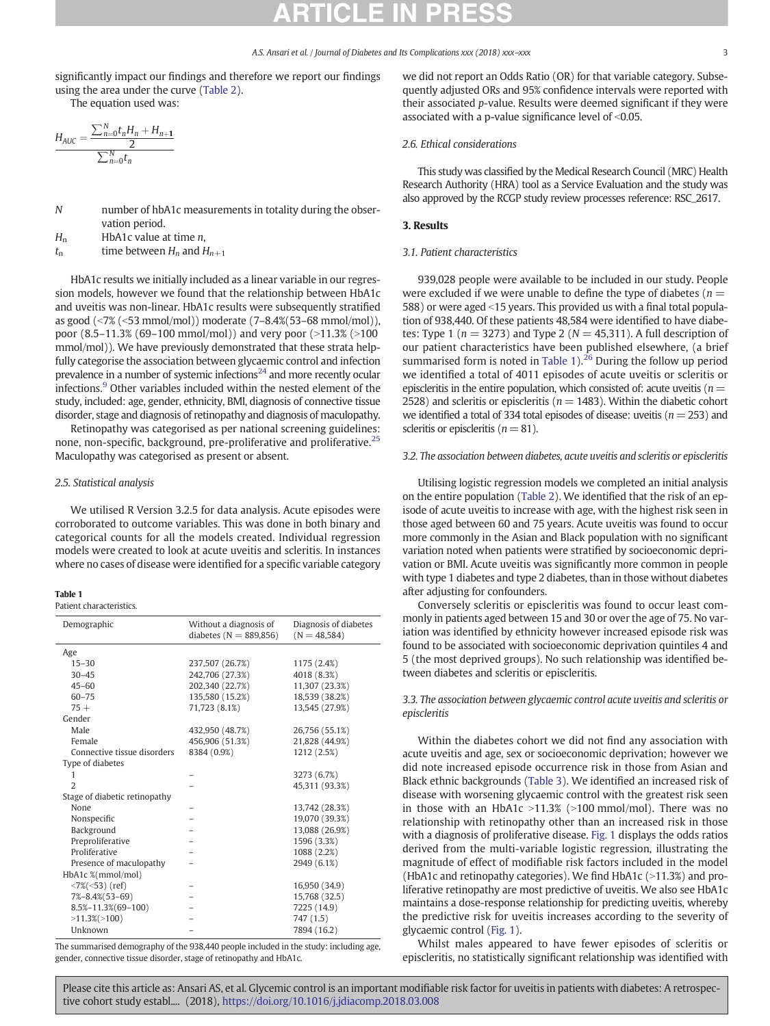significantly impact our findings and therefore we report our findings using the area under the curve [\(Table 2](#page-3-0)).

The equation used was:

$$
\frac{H_{AUC} = \frac{\sum_{n=0}^{N} t_n H_n + H_{n+1}}{2}}{\sum_{n=0}^{N} t_n}
$$

N number of hbA1c measurements in totality during the observation period.

 $H_n$  HbA1c value at time *n*,

 $t_n$  time between  $H_n$  and  $H_{n+1}$ 

HbA1c results we initially included as a linear variable in our regression models, however we found that the relationship between HbA1c and uveitis was non-linear. HbA1c results were subsequently stratified as good (<7% (<53 mmol/mol)) moderate (7–8.4%(53–68 mmol/mol)), poor  $(8.5-11.3\% (69-100 mmol/mol))$  and very poor  $(>11.3\% (>100$ mmol/mol)). We have previously demonstrated that these strata helpfully categorise the association between glycaemic control and infection prevalence in a number of [s](#page-6-0)ystemic infections $24$  and more recently ocular infections[.](#page-6-0)[9](#page-6-0) Other variables included within the nested element of the study, included: age, gender, ethnicity, BMI, diagnosis of connective tissue disorder, stage and diagnosis of retinopathy and diagnosis of maculopathy.

Retinopathy was categorised as per national screening guidelines: none, non-specific, background, pre-proliferative and proliferative[.](#page-6-0)<sup>[25](#page-6-0)</sup> Maculopathy was categorised as present or absent.

### 2.5. Statistical analysis

We utilised R Version 3.2.5 for data analysis. Acute episodes were corroborated to outcome variables. This was done in both binary and categorical counts for all the models created. Individual regression models were created to look at acute uveitis and scleritis. In instances where no cases of disease were identified for a specific variable category

### Table 1

Patient characteristics.

| Demographic                               | Without a diagnosis of<br>diabetes ( $N = 889,856$ ) | Diagnosis of diabetes<br>$(N = 48,584)$ |
|-------------------------------------------|------------------------------------------------------|-----------------------------------------|
| Age                                       |                                                      |                                         |
| $15 - 30$                                 | 237,507 (26.7%)                                      | 1175 (2.4%)                             |
| $30 - 45$                                 | 242,706 (27.3%)                                      | 4018 (8.3%)                             |
| $45 - 60$                                 | 202,340 (22.7%)                                      | 11,307 (23.3%)                          |
| $60 - 75$                                 | 135,580 (15.2%)                                      | 18,539 (38.2%)                          |
| $75+$                                     | 71,723 (8.1%)                                        | 13,545 (27.9%)                          |
| Gender                                    |                                                      |                                         |
| Male                                      | 432,950 (48.7%)                                      | 26,756 (55.1%)                          |
| Female                                    | 456,906 (51.3%)                                      | 21,828 (44.9%)                          |
| Connective tissue disorders               | 8384 (0.9%)                                          | 1212 (2.5%)                             |
| Type of diabetes                          |                                                      |                                         |
| 1                                         |                                                      | 3273 (6.7%)                             |
| $\overline{2}$                            |                                                      | 45,311 (93.3%)                          |
| Stage of diabetic retinopathy             |                                                      |                                         |
| None                                      |                                                      | 13,742 (28.3%)                          |
| Nonspecific                               |                                                      | 19,070 (39.3%)                          |
| Background                                |                                                      | 13,088 (26.9%)                          |
| Preproliferative                          |                                                      | 1596 (3.3%)                             |
| Proliferative                             |                                                      | 1088 (2.2%)                             |
| Presence of maculopathy                   |                                                      | 2949 (6.1%)                             |
| HbA1c %(mmol/mol)                         |                                                      |                                         |
| $\langle 7\% (\langle 53 \rangle )$ (ref) |                                                      | 16,950 (34.9)                           |
| $7\% - 8.4\% (53 - 69)$                   |                                                      | 15,768 (32.5)                           |
| $8.5\% - 11.3\%$ (69-100)                 |                                                      | 7225 (14.9)                             |
| $>11.3\%$ $(>100)$                        |                                                      | 747 (1.5)                               |
| Unknown                                   |                                                      | 7894 (16.2)                             |

The summarised demography of the 938,440 people included in the study: including age, gender, connective tissue disorder, stage of retinopathy and HbA1c.

we did not report an Odds Ratio (OR) for that variable category. Subsequently adjusted ORs and 95% confidence intervals were reported with their associated p-value. Results were deemed significant if they were associated with a p-value significance level of  $< 0.05$ .

### 2.6. Ethical considerations

This study was classified by the Medical Research Council (MRC) Health Research Authority (HRA) tool as a Service Evaluation and the study was also approved by the RCGP study review processes reference: RSC\_2617.

### 3. Results

### 3.1. Patient characteristics

939,028 people were available to be included in our study. People were excluded if we were unable to define the type of diabetes ( $n =$ 588) or were aged <15 years. This provided us with a final total population of 938,440. Of these patients 48,584 were identified to have diabetes: Type 1 ( $n = 3273$ ) and Type 2 ( $N = 45,311$ ). A full description of our patient characteristics have been published elsewhere, (a brief summarised form is noted in Table  $1$ )[.](#page-6-0)<sup>[26](#page-6-0)</sup> During the follow up period we identified a total of 4011 episodes of acute uveitis or scleritis or episcleritis in the entire population, which consisted of: acute uveitis ( $n =$ 2528) and scleritis or episcleritis ( $n = 1483$ ). Within the diabetic cohort we identified a total of 334 total episodes of disease: uveitis ( $n = 253$ ) and scleritis or episcleritis  $(n = 81)$ .

### 3.2. The association between diabetes, acute uveitis and scleritis or episcleritis

Utilising logistic regression models we completed an initial analysis on the entire population [\(Table 2\)](#page-3-0). We identified that the risk of an episode of acute uveitis to increase with age, with the highest risk seen in those aged between 60 and 75 years. Acute uveitis was found to occur more commonly in the Asian and Black population with no significant variation noted when patients were stratified by socioeconomic deprivation or BMI. Acute uveitis was significantly more common in people with type 1 diabetes and type 2 diabetes, than in those without diabetes after adjusting for confounders.

Conversely scleritis or episcleritis was found to occur least commonly in patients aged between 15 and 30 or over the age of 75. No variation was identified by ethnicity however increased episode risk was found to be associated with socioeconomic deprivation quintiles 4 and 5 (the most deprived groups). No such relationship was identified between diabetes and scleritis or episcleritis.

### 3.3. The association between glycaemic control acute uveitis and scleritis or episcleritis

Within the diabetes cohort we did not find any association with acute uveitis and age, sex or socioeconomic deprivation; however we did note increased episode occurrence risk in those from Asian and Black ethnic backgrounds ([Table 3\)](#page-4-0). We identified an increased risk of disease with worsening glycaemic control with the greatest risk seen in those with an HbA1c >11.3% (>100 mmol/mol). There was no relationship with retinopathy other than an increased risk in those with a diagnosis of proliferative disease. [Fig. 1](#page-4-0) displays the odds ratios derived from the multi-variable logistic regression, illustrating the magnitude of effect of modifiable risk factors included in the model (HbA1c and retinopathy categories). We find HbA1c  $(>11.3%)$  and proliferative retinopathy are most predictive of uveitis. We also see HbA1c maintains a dose-response relationship for predicting uveitis, whereby the predictive risk for uveitis increases according to the severity of glycaemic control ([Fig. 1](#page-4-0)).

Whilst males appeared to have fewer episodes of scleritis or episcleritis, no statistically significant relationship was identified with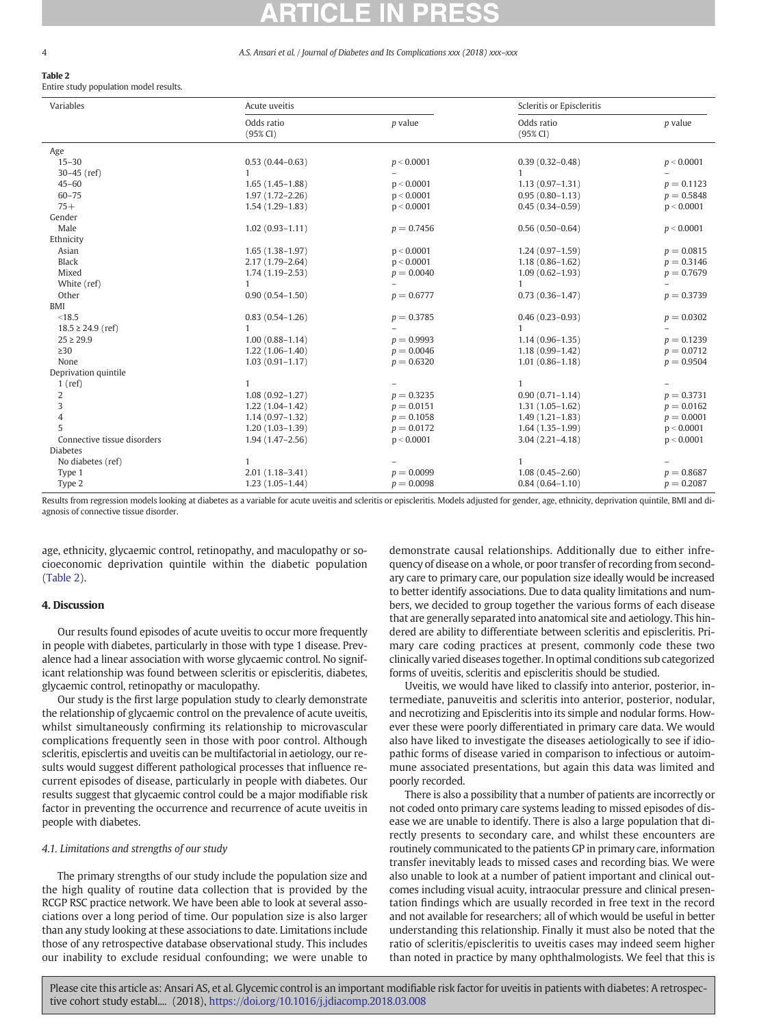## <span id="page-3-0"></span>Table 2

Entire study population model results.

| Variables                   | Acute uveitis       |              | Scleritis or Episcleritis |              |  |
|-----------------------------|---------------------|--------------|---------------------------|--------------|--|
|                             | Odds ratio          | p value      | Odds ratio                | p value      |  |
|                             | $(95\% CI)$         |              | (95% CI)                  |              |  |
| Age                         |                     |              |                           |              |  |
| $15 - 30$                   | $0.53(0.44 - 0.63)$ | p < 0.0001   | $0.39(0.32 - 0.48)$       | p < 0.0001   |  |
| $30 - 45$ (ref)             | $\mathbf{1}$        |              | $\mathbf{1}$              |              |  |
| $45 - 60$                   | $1.65(1.45-1.88)$   | p < 0.0001   | $1.13(0.97-1.31)$         | $p = 0.1123$ |  |
| $60 - 75$                   | $1.97(1.72 - 2.26)$ | p < 0.0001   | $0.95(0.80 - 1.13)$       | $p = 0.5848$ |  |
| $75+$                       | $1.54(1.29-1.83)$   | p < 0.0001   | $0.45(0.34 - 0.59)$       | p < 0.0001   |  |
| Gender                      |                     |              |                           |              |  |
| Male                        | $1.02(0.93 - 1.11)$ | $p = 0.7456$ | $0.56(0.50 - 0.64)$       | p < 0.0001   |  |
| Ethnicity                   |                     |              |                           |              |  |
| Asian                       | $1.65(1.38-1.97)$   | p < 0.0001   | $1.24(0.97-1.59)$         | $p = 0.0815$ |  |
| <b>Black</b>                | $2.17(1.79 - 2.64)$ | p < 0.0001   | $1.18(0.86 - 1.62)$       | $p = 0.3146$ |  |
| Mixed                       | $1.74(1.19-2.53)$   | $p = 0.0040$ | $1.09(0.62 - 1.93)$       | $p = 0.7679$ |  |
| White (ref)                 |                     |              | 1.                        |              |  |
| Other                       | $0.90(0.54 - 1.50)$ | $p = 0.6777$ | $0.73(0.36 - 1.47)$       | $p = 0.3739$ |  |
| <b>BMI</b>                  |                     |              |                           |              |  |
| < 18.5                      | $0.83(0.54 - 1.26)$ | $p = 0.3785$ | $0.46(0.23 - 0.93)$       | $p = 0.0302$ |  |
| $18.5 \geq 24.9$ (ref)      |                     |              | 1.                        |              |  |
| $25 \ge 29.9$               | $1.00(0.88 - 1.14)$ | $p = 0.9993$ | $1.14(0.96 - 1.35)$       | $p = 0.1239$ |  |
| $\geq$ 30                   | $1.22(1.06-1.40)$   | $p = 0.0046$ | $1.18(0.99 - 1.42)$       | $p = 0.0712$ |  |
| None                        | $1.03(0.91 - 1.17)$ | $p = 0.6320$ | $1.01(0.86 - 1.18)$       | $p = 0.9504$ |  |
| Deprivation quintile        |                     |              |                           |              |  |
| 1(ref)                      |                     |              | 1                         |              |  |
| 2                           | $1.08(0.92 - 1.27)$ | $p = 0.3235$ | $0.90(0.71 - 1.14)$       | $p = 0.3731$ |  |
| 3                           | $1.22(1.04-1.42)$   | $p = 0.0151$ | $1.31(1.05-1.62)$         | $p = 0.0162$ |  |
| $\overline{4}$              | $1.14(0.97-1.32)$   | $p = 0.1058$ | $1.49(1.21 - 1.83)$       | $p = 0.0001$ |  |
| 5                           | $1.20(1.03 - 1.39)$ | $p = 0.0172$ | $1.64(1.35-1.99)$         | p < 0.0001   |  |
| Connective tissue disorders | $1.94(1.47-2.56)$   | p < 0.0001   | $3.04(2.21 - 4.18)$       | p < 0.0001   |  |
| <b>Diabetes</b>             |                     |              |                           |              |  |
| No diabetes (ref)           |                     |              | 1                         |              |  |
| Type 1                      | $2.01(1.18-3.41)$   | $p = 0.0099$ | $1.08(0.45 - 2.60)$       | $p = 0.8687$ |  |
| Type 2                      | $1.23(1.05-1.44)$   | $p = 0.0098$ | $0.84(0.64 - 1.10)$       | $p = 0.2087$ |  |

Results from regression models looking at diabetes as a variable for acute uveitis and scleritis or episcleritis. Models adjusted for gender, age, ethnicity, deprivation quintile, BMI and diagnosis of connective tissue disorder.

age, ethnicity, glycaemic control, retinopathy, and maculopathy or socioeconomic deprivation quintile within the diabetic population (Table 2).

### 4. Discussion

Our results found episodes of acute uveitis to occur more frequently in people with diabetes, particularly in those with type 1 disease. Prevalence had a linear association with worse glycaemic control. No significant relationship was found between scleritis or episcleritis, diabetes, glycaemic control, retinopathy or maculopathy.

Our study is the first large population study to clearly demonstrate the relationship of glycaemic control on the prevalence of acute uveitis, whilst simultaneously confirming its relationship to microvascular complications frequently seen in those with poor control. Although scleritis, episclertis and uveitis can be multifactorial in aetiology, our results would suggest different pathological processes that influence recurrent episodes of disease, particularly in people with diabetes. Our results suggest that glycaemic control could be a major modifiable risk factor in preventing the occurrence and recurrence of acute uveitis in people with diabetes.

### 4.1. Limitations and strengths of our study

The primary strengths of our study include the population size and the high quality of routine data collection that is provided by the RCGP RSC practice network. We have been able to look at several associations over a long period of time. Our population size is also larger than any study looking at these associations to date. Limitations include those of any retrospective database observational study. This includes our inability to exclude residual confounding; we were unable to demonstrate causal relationships. Additionally due to either infrequency of disease on a whole, or poor transfer of recording from secondary care to primary care, our population size ideally would be increased to better identify associations. Due to data quality limitations and numbers, we decided to group together the various forms of each disease that are generally separated into anatomical site and aetiology. This hindered are ability to differentiate between scleritis and episcleritis. Primary care coding practices at present, commonly code these two clinically varied diseases together. In optimal conditions sub categorized forms of uveitis, scleritis and episcleritis should be studied.

Uveitis, we would have liked to classify into anterior, posterior, intermediate, panuveitis and scleritis into anterior, posterior, nodular, and necrotizing and Episcleritis into its simple and nodular forms. However these were poorly differentiated in primary care data. We would also have liked to investigate the diseases aetiologically to see if idiopathic forms of disease varied in comparison to infectious or autoimmune associated presentations, but again this data was limited and poorly recorded.

There is also a possibility that a number of patients are incorrectly or not coded onto primary care systems leading to missed episodes of disease we are unable to identify. There is also a large population that directly presents to secondary care, and whilst these encounters are routinely communicated to the patients GP in primary care, information transfer inevitably leads to missed cases and recording bias. We were also unable to look at a number of patient important and clinical outcomes including visual acuity, intraocular pressure and clinical presentation findings which are usually recorded in free text in the record and not available for researchers; all of which would be useful in better understanding this relationship. Finally it must also be noted that the ratio of scleritis/episcleritis to uveitis cases may indeed seem higher than noted in practice by many ophthalmologists. We feel that this is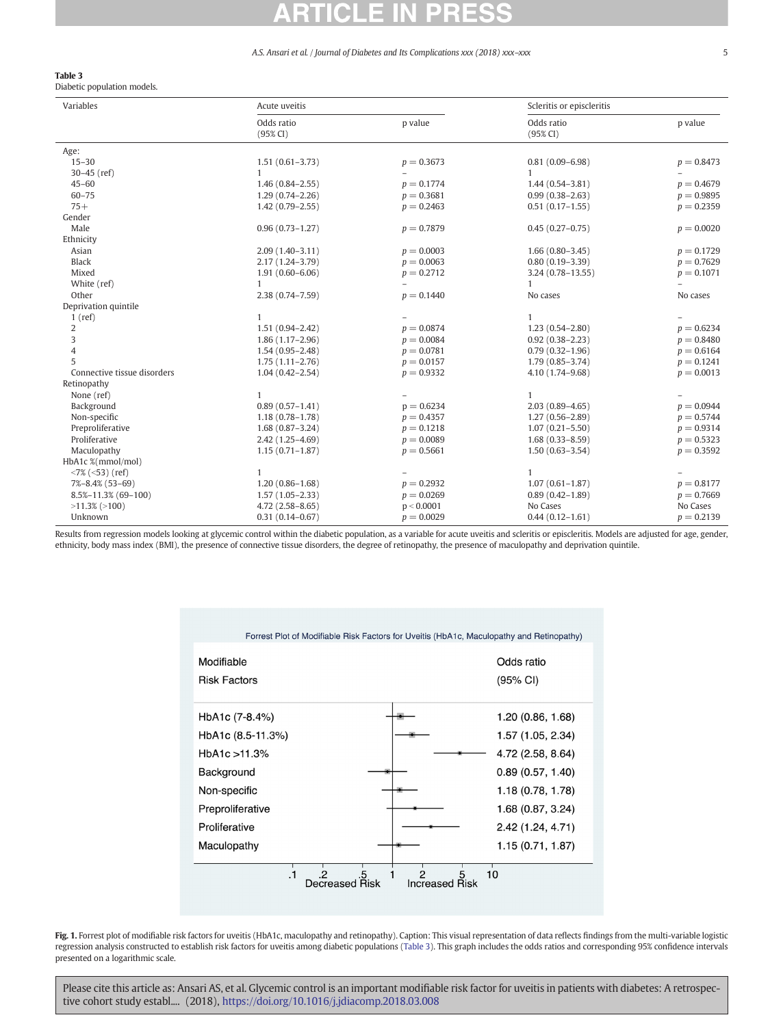### <span id="page-4-0"></span>Table 3

Diabetic population models.

| Variables                   | Acute uveitis          |              | Scleritis or episcleritis |              |
|-----------------------------|------------------------|--------------|---------------------------|--------------|
|                             | Odds ratio<br>(95% CI) | p value      | Odds ratio<br>$(95\% CI)$ | p value      |
| Age:                        |                        |              |                           |              |
| $15 - 30$                   | $1.51(0.61 - 3.73)$    | $p = 0.3673$ | $0.81(0.09 - 6.98)$       | $p = 0.8473$ |
| $30 - 45$ (ref)             | $\mathbf{1}$           |              | $\mathbf{1}$              |              |
| $45 - 60$                   | $1.46(0.84 - 2.55)$    | $p = 0.1774$ | $1.44(0.54 - 3.81)$       | $p = 0.4679$ |
| $60 - 75$                   | $1.29(0.74 - 2.26)$    | $p = 0.3681$ | $0.99(0.38 - 2.63)$       | $p = 0.9895$ |
| $75+$                       | $1.42(0.79 - 2.55)$    | $p = 0.2463$ | $0.51(0.17-1.55)$         | $p = 0.2359$ |
| Gender                      |                        |              |                           |              |
| Male                        | $0.96(0.73 - 1.27)$    | $p = 0.7879$ | $0.45(0.27-0.75)$         | $p = 0.0020$ |
| Ethnicity                   |                        |              |                           |              |
| Asian                       | $2.09(1.40-3.11)$      | $p = 0.0003$ | $1.66(0.80-3.45)$         | $p = 0.1729$ |
| <b>Black</b>                | $2.17(1.24 - 3.79)$    | $p = 0.0063$ | $0.80(0.19-3.39)$         | $p = 0.7629$ |
| Mixed                       | $1.91(0.60 - 6.06)$    | $p = 0.2712$ | $3.24(0.78 - 13.55)$      | $p = 0.1071$ |
| White (ref)                 | 1                      |              | 1                         |              |
| Other                       | $2.38(0.74 - 7.59)$    | $p = 0.1440$ | No cases                  | No cases     |
| Deprivation quintile        |                        |              |                           |              |
| $1$ (ref)                   | 1                      |              | 1                         |              |
| 2                           | $1.51(0.94 - 2.42)$    | $p = 0.0874$ | $1.23(0.54 - 2.80)$       | $p = 0.6234$ |
| 3                           | $1.86(1.17-2.96)$      | $p = 0.0084$ | $0.92(0.38 - 2.23)$       | $p = 0.8480$ |
| 4                           | $1.54(0.95 - 2.48)$    | $p = 0.0781$ | $0.79(0.32 - 1.96)$       | $p = 0.6164$ |
| 5                           | $1.75(1.11 - 2.76)$    | $p = 0.0157$ | $1.79(0.85 - 3.74)$       | $p = 0.1241$ |
| Connective tissue disorders | $1.04(0.42 - 2.54)$    | $p = 0.9332$ | 4.10 (1.74-9.68)          | $p = 0.0013$ |
| Retinopathy                 |                        |              |                           |              |
| None (ref)                  | 1                      |              | 1                         |              |
| Background                  | $0.89(0.57 - 1.41)$    | $p = 0.6234$ | $2.03(0.89 - 4.65)$       | $p = 0.0944$ |
| Non-specific                | $1.18(0.78 - 1.78)$    | $p = 0.4357$ | $1.27(0.56 - 2.89)$       | $p = 0.5744$ |
| Preproliferative            | $1.68(0.87 - 3.24)$    | $p = 0.1218$ | $1.07(0.21 - 5.50)$       | $p = 0.9314$ |
| Proliferative               | $2.42(1.25 - 4.69)$    | $p = 0.0089$ | $1.68(0.33 - 8.59)$       | $p = 0.5323$ |
| Maculopathy                 | $1.15(0.71 - 1.87)$    | $p = 0.5661$ | $1.50(0.63 - 3.54)$       | $p = 0.3592$ |
| HbA1c %(mmol/mol)           |                        |              |                           |              |
| $<7\%$ ( $<53$ ) (ref)      | 1                      |              | $\mathbf{1}$              |              |
| 7%-8.4% (53-69)             | $1.20(0.86 - 1.68)$    | $p = 0.2932$ | $1.07(0.61 - 1.87)$       | $p = 0.8177$ |
| $8.5\% - 11.3\%$ (69-100)   | $1.57(1.05 - 2.33)$    | $p = 0.0269$ | $0.89(0.42 - 1.89)$       | $p = 0.7669$ |
| $>11.3\%$ ( $>100$ )        | $4.72(2.58 - 8.65)$    | p < 0.0001   | No Cases                  | No Cases     |
| Unknown                     | $0.31(0.14 - 0.67)$    | $p = 0.0029$ | $0.44(0.12 - 1.61)$       | $p = 0.2139$ |

Results from regression models looking at glycemic control within the diabetic population, as a variable for acute uveitis and scleritis or episcleritis. Models are adjusted for age, gender, ethnicity, body mass index (BMI), the presence of connective tissue disorders, the degree of retinopathy, the presence of maculopathy and deprivation quintile.

|                                                     | Forrest Plot of Modifiable Risk Factors for Uveitis (HbA1c, Maculopathy and Retinopathy) |
|-----------------------------------------------------|------------------------------------------------------------------------------------------|
| Modifiable<br><b>Risk Factors</b>                   | Odds ratio<br>(95% CI)                                                                   |
| HbA1c (7-8.4%)                                      | 1.20 (0.86, 1.68)                                                                        |
| HbA1c (8.5-11.3%)                                   | 1.57 (1.05, 2.34)                                                                        |
| HbA1c > 11.3%                                       | 4.72 (2.58, 8.64)                                                                        |
| Background                                          | 0.89(0.57, 1.40)                                                                         |
| Non-specific                                        | 1.18 (0.78, 1.78)                                                                        |
| Preproliferative                                    | 1.68 (0.87, 3.24)                                                                        |
| Proliferative                                       | 2.42 (1.24, 4.71)                                                                        |
| Maculopathy                                         | 1.15 (0.71, 1.87)                                                                        |
| $\cdot$ 1<br>$\cdot$<br>.5<br><b>Decreased Risk</b> | 10<br><b>Increased Risk</b>                                                              |

Fig. 1. Forrest plot of modifiable risk factors for uveitis (HbA1c, maculopathy and retinopathy). Caption: This visual representation of data reflects findings from the multi-variable logistic regression analysis constructed to establish risk factors for uveitis among diabetic populations (Table 3). This graph includes the odds ratios and corresponding 95% confidence intervals presented on a logarithmic scale.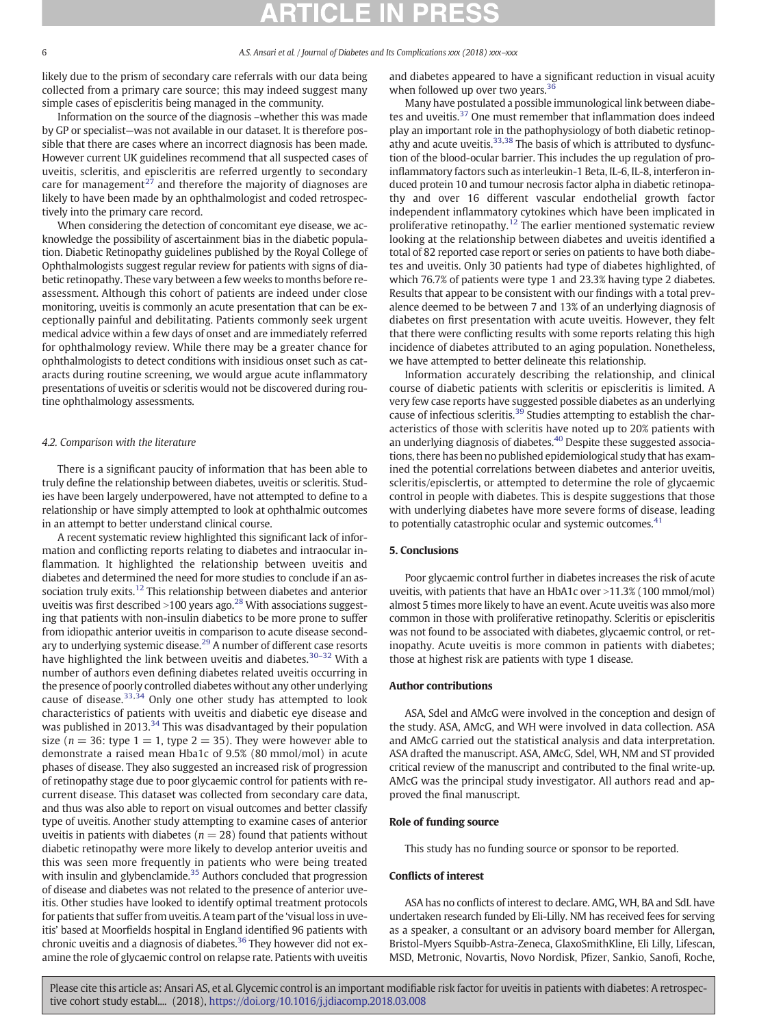likely due to the prism of secondary care referrals with our data being collected from a primary care source; this may indeed suggest many simple cases of episcleritis being managed in the community.

Information on the source of the diagnosis –whether this was made by GP or specialist—was not available in our dataset. It is therefore possible that there are cases where an incorrect diagnosis has been made. However current UK guidelines recommend that all suspected cases of uveitis, scleritis, and episcleritis are referred urgently to secondary care for managemen[t](#page-6-0)<sup>[27](#page-6-0)</sup> and therefore the majority of diagnoses are likely to have been made by an ophthalmologist and coded retrospectively into the primary care record.

When considering the detection of concomitant eye disease, we acknowledge the possibility of ascertainment bias in the diabetic population. Diabetic Retinopathy guidelines published by the Royal College of Ophthalmologists suggest regular review for patients with signs of diabetic retinopathy. These vary between a few weeks to months before reassessment. Although this cohort of patients are indeed under close monitoring, uveitis is commonly an acute presentation that can be exceptionally painful and debilitating. Patients commonly seek urgent medical advice within a few days of onset and are immediately referred for ophthalmology review. While there may be a greater chance for ophthalmologists to detect conditions with insidious onset such as cataracts during routine screening, we would argue acute inflammatory presentations of uveitis or scleritis would not be discovered during routine ophthalmology assessments.

### 4.2. Comparison with the literature

There is a significant paucity of information that has been able to truly define the relationship between diabetes, uveitis or scleritis. Studies have been largely underpowered, have not attempted to define to a relationship or have simply attempted to look at ophthalmic outcomes in an attempt to better understand clinical course.

A recent systematic review highlighted this significant lack of information and conflicting reports relating to diabetes and intraocular inflammation. It highlighted the relationship between uveitis and diabetes and determined the need for more studies to conclude if an as-sociation truly exits[.](#page-6-0)<sup>[12](#page-6-0)</sup> This relationship between diabetes and anterior uveitis was first described > 100 years ago[.](#page-6-0)<sup>[28](#page-6-0)</sup> With associations suggesting that patients with non-insulin diabetics to be more prone to suffer from idiopathic anterior uveitis in comparison to acute disease second-ary to underlying systemic disease[.](#page-6-0)<sup>[29](#page-6-0)</sup> A number of different case resorts have highlighted the link between uveitis and diabetes[.](#page-6-0)<sup>[30](#page-6-0)–32</sup> With a number of authors even defining diabetes related uveitis occurring in the presence of poorly controlled diabetes without any other underlying cause of disease[.](#page-6-0)[33,34](#page-6-0) Only one other study has attempted to look characteristics of patients with uveitis and diabetic eye disease and was published in 2013[.](#page-6-0)<sup>[34](#page-6-0)</sup> This was disadvantaged by their population size ( $n = 36$ : type  $1 = 1$ , type  $2 = 35$ ). They were however able to demonstrate a raised mean Hba1c of 9.5% (80 mmol/mol) in acute phases of disease. They also suggested an increased risk of progression of retinopathy stage due to poor glycaemic control for patients with recurrent disease. This dataset was collected from secondary care data, and thus was also able to report on visual outcomes and better classify type of uveitis. Another study attempting to examine cases of anterior uveitis in patients with diabetes ( $n = 28$ ) found that patients without diabetic retinopathy were more likely to develop anterior uveitis and this was seen more frequently in patients who were being treated with insulin and glybenclamide[.](#page-6-0)<sup>[35](#page-6-0)</sup> Authors concluded that progression of disease and diabetes was not related to the presence of anterior uveitis. Other studies have looked to identify optimal treatment protocols for patients that suffer from uveitis. A team part of the 'visual loss in uveitis' based at Moorfields hospital in England identified 96 patients with chronic uveitis and a diagnosis of diabetes[.](#page-6-0)<sup>[36](#page-6-0)</sup> They however did not examine the role of glycaemic control on relapse rate. Patients with uveitis and diabetes appeared to have a significant reduction in visual acuity when followed up over two years[.](#page-6-0)<sup>[36](#page-6-0)</sup>

Many have postulated a possible immunological link between diabe-tes and uveitis[.](#page-6-0)<sup>[37](#page-6-0)</sup> One must remember that inflammation does indeed play an important role in the pathophysiology of both diabetic retinop-athy and acute uveitis[.](#page-6-0)<sup>[33,38](#page-6-0)</sup> The basis of which is attributed to dysfunction of the blood-ocular barrier. This includes the up regulation of proinflammatory factors such as interleukin-1 Beta, IL-6, IL-8, interferon induced protein 10 and tumour necrosis factor alpha in diabetic retinopathy and over 16 different vascular endothelial growth factor independent inflammatory cytokines which have been implicated in proliferative retinopathy[.](#page-6-0)<sup>[12](#page-6-0)</sup> The earlier mentioned systematic review looking at the relationship between diabetes and uveitis identified a total of 82 reported case report or series on patients to have both diabetes and uveitis. Only 30 patients had type of diabetes highlighted, of which 76.7% of patients were type 1 and 23.3% having type 2 diabetes. Results that appear to be consistent with our findings with a total prevalence deemed to be between 7 and 13% of an underlying diagnosis of diabetes on first presentation with acute uveitis. However, they felt that there were conflicting results with some reports relating this high incidence of diabetes attributed to an aging population. Nonetheless, we have attempted to better delineate this relationship.

Information accurately describing the relationship, and clinical course of diabetic patients with scleritis or episcleritis is limited. A very few case reports have suggested possible diabetes as an underlying cause of infectious scleritis[.](#page-6-0)<sup>[39](#page-6-0)</sup> Studies attempting to establish the characteristics of those with scleritis have noted up to 20% patients with an underlying diagnosis of diabetes[.](#page-6-0)<sup>[40](#page-6-0)</sup> Despite these suggested associations, there has been no published epidemiological study that has examined the potential correlations between diabetes and anterior uveitis, scleritis/episclertis, or attempted to determine the role of glycaemic control in people with diabetes. This is despite suggestions that those with underlying diabetes have more severe forms of disease, leading to potentially catastrophic ocular and systemic outcomes[.](#page-6-0)<sup>[41](#page-6-0)</sup>

### 5. Conclusions

Poor glycaemic control further in diabetes increases the risk of acute uveitis, with patients that have an HbA1c over  $>$ 11.3% (100 mmol/mol) almost 5 times more likely to have an event. Acute uveitis was also more common in those with proliferative retinopathy. Scleritis or episcleritis was not found to be associated with diabetes, glycaemic control, or retinopathy. Acute uveitis is more common in patients with diabetes; those at highest risk are patients with type 1 disease.

### Author contributions

ASA, Sdel and AMcG were involved in the conception and design of the study. ASA, AMcG, and WH were involved in data collection. ASA and AMcG carried out the statistical analysis and data interpretation. ASA drafted the manuscript. ASA, AMcG, Sdel, WH, NM and ST provided critical review of the manuscript and contributed to the final write-up. AMcG was the principal study investigator. All authors read and approved the final manuscript.

### Role of funding source

This study has no funding source or sponsor to be reported.

### Conflicts of interest

ASA has no conflicts of interest to declare. AMG, WH, BA and SdL have undertaken research funded by Eli-Lilly. NM has received fees for serving as a speaker, a consultant or an advisory board member for Allergan, Bristol-Myers Squibb-Astra-Zeneca, GlaxoSmithKline, Eli Lilly, Lifescan, MSD, Metronic, Novartis, Novo Nordisk, Pfizer, Sankio, Sanofi, Roche,